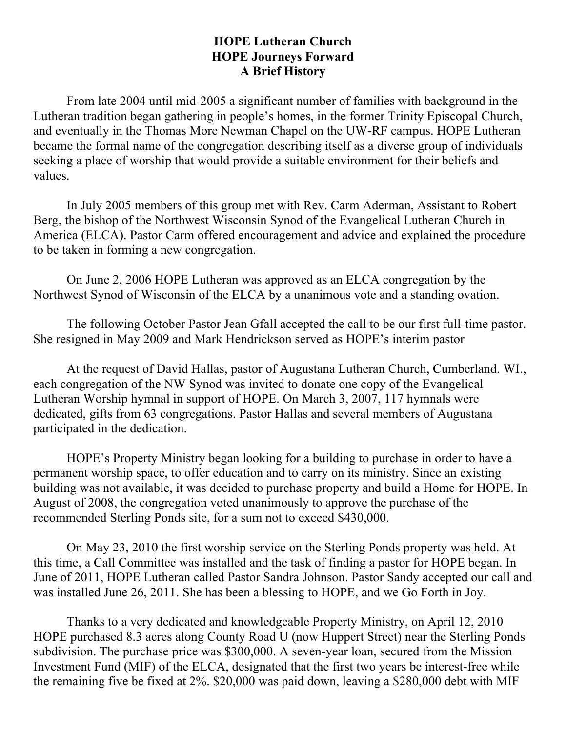## **HOPE Lutheran Church HOPE Journeys Forward A Brief History**

From late 2004 until mid-2005 a significant number of families with background in the Lutheran tradition began gathering in people's homes, in the former Trinity Episcopal Church, and eventually in the Thomas More Newman Chapel on the UW-RF campus. HOPE Lutheran became the formal name of the congregation describing itself as a diverse group of individuals seeking a place of worship that would provide a suitable environment for their beliefs and values.

In July 2005 members of this group met with Rev. Carm Aderman, Assistant to Robert Berg, the bishop of the Northwest Wisconsin Synod of the Evangelical Lutheran Church in America (ELCA). Pastor Carm offered encouragement and advice and explained the procedure to be taken in forming a new congregation.

On June 2, 2006 HOPE Lutheran was approved as an ELCA congregation by the Northwest Synod of Wisconsin of the ELCA by a unanimous vote and a standing ovation.

The following October Pastor Jean Gfall accepted the call to be our first full-time pastor. She resigned in May 2009 and Mark Hendrickson served as HOPE's interim pastor

At the request of David Hallas, pastor of Augustana Lutheran Church, Cumberland. WI., each congregation of the NW Synod was invited to donate one copy of the Evangelical Lutheran Worship hymnal in support of HOPE. On March 3, 2007, 117 hymnals were dedicated, gifts from 63 congregations. Pastor Hallas and several members of Augustana participated in the dedication.

HOPE's Property Ministry began looking for a building to purchase in order to have a permanent worship space, to offer education and to carry on its ministry. Since an existing building was not available, it was decided to purchase property and build a Home for HOPE. In August of 2008, the congregation voted unanimously to approve the purchase of the recommended Sterling Ponds site, for a sum not to exceed \$430,000.

On May 23, 2010 the first worship service on the Sterling Ponds property was held. At this time, a Call Committee was installed and the task of finding a pastor for HOPE began. In June of 2011, HOPE Lutheran called Pastor Sandra Johnson. Pastor Sandy accepted our call and was installed June 26, 2011. She has been a blessing to HOPE, and we Go Forth in Joy.

Thanks to a very dedicated and knowledgeable Property Ministry, on April 12, 2010 HOPE purchased 8.3 acres along County Road U (now Huppert Street) near the Sterling Ponds subdivision. The purchase price was \$300,000. A seven-year loan, secured from the Mission Investment Fund (MIF) of the ELCA, designated that the first two years be interest-free while the remaining five be fixed at 2%. \$20,000 was paid down, leaving a \$280,000 debt with MIF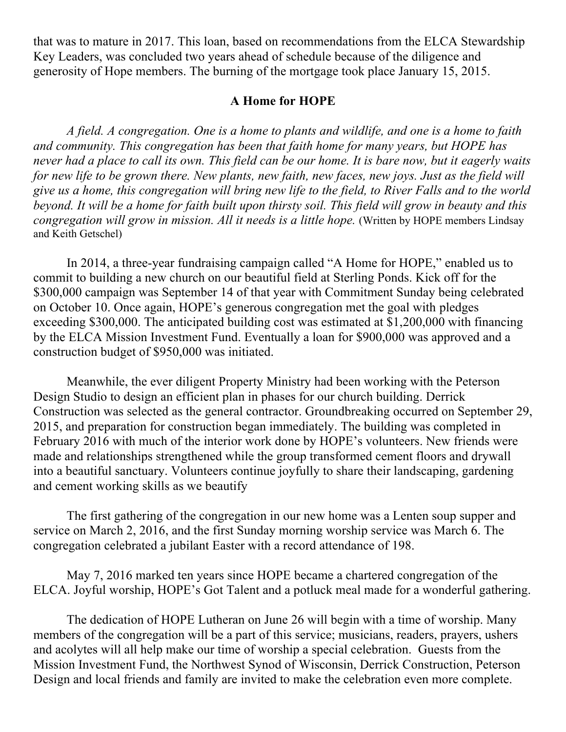that was to mature in 2017. This loan, based on recommendations from the ELCA Stewardship Key Leaders, was concluded two years ahead of schedule because of the diligence and generosity of Hope members. The burning of the mortgage took place January 15, 2015.

## **A Home for HOPE**

*A field. A congregation. One is a home to plants and wildlife, and one is a home to faith and community. This congregation has been that faith home for many years, but HOPE has never had a place to call its own. This field can be our home. It is bare now, but it eagerly waits for new life to be grown there. New plants, new faith, new faces, new joys. Just as the field will give us a home, this congregation will bring new life to the field, to River Falls and to the world beyond. It will be a home for faith built upon thirsty soil. This field will grow in beauty and this congregation will grow in mission. All it needs is a little hope.* (Written by HOPE members Lindsay and Keith Getschel)

In 2014, a three-year fundraising campaign called "A Home for HOPE," enabled us to commit to building a new church on our beautiful field at Sterling Ponds. Kick off for the \$300,000 campaign was September 14 of that year with Commitment Sunday being celebrated on October 10. Once again, HOPE's generous congregation met the goal with pledges exceeding \$300,000. The anticipated building cost was estimated at \$1,200,000 with financing by the ELCA Mission Investment Fund. Eventually a loan for \$900,000 was approved and a construction budget of \$950,000 was initiated.

Meanwhile, the ever diligent Property Ministry had been working with the Peterson Design Studio to design an efficient plan in phases for our church building. Derrick Construction was selected as the general contractor. Groundbreaking occurred on September 29, 2015, and preparation for construction began immediately. The building was completed in February 2016 with much of the interior work done by HOPE's volunteers. New friends were made and relationships strengthened while the group transformed cement floors and drywall into a beautiful sanctuary. Volunteers continue joyfully to share their landscaping, gardening and cement working skills as we beautify

The first gathering of the congregation in our new home was a Lenten soup supper and service on March 2, 2016, and the first Sunday morning worship service was March 6. The congregation celebrated a jubilant Easter with a record attendance of 198.

May 7, 2016 marked ten years since HOPE became a chartered congregation of the ELCA. Joyful worship, HOPE's Got Talent and a potluck meal made for a wonderful gathering.

The dedication of HOPE Lutheran on June 26 will begin with a time of worship. Many members of the congregation will be a part of this service; musicians, readers, prayers, ushers and acolytes will all help make our time of worship a special celebration. Guests from the Mission Investment Fund, the Northwest Synod of Wisconsin, Derrick Construction, Peterson Design and local friends and family are invited to make the celebration even more complete.